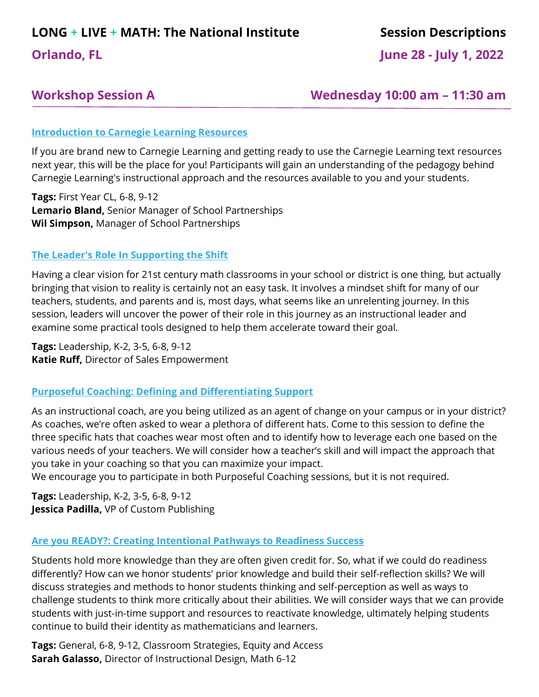# **LONG + LIVE + MATH: The National Institute Session Descriptions**

**Orlando, FL June 28 - July 1, 2022** 

**Workshop Session A Wednesday 10:00 am – 11:30 am**

## **Introduction to Carnegie Learning Resources**

If you are brand new to Carnegie Learning and getting ready to use the Carnegie Learning text resources next year, this will be the place for you! Participants will gain an understanding of the pedagogy behind Carnegie Learning's instructional approach and the resources available to you and your students.

**Tags:** First Year CL, 6-8, 9-12 **Lemario Bland,** Senior Manager of School Partnerships **Wil Simpson,** Manager of School Partnerships

## **The Leader's Role In Supporting the Shift**

Having a clear vision for 21st century math classrooms in your school or district is one thing, but actually bringing that vision to reality is certainly not an easy task. It involves a mindset shift for many of our teachers, students, and parents and is, most days, what seems like an unrelenting journey. In this session, leaders will uncover the power of their role in this journey as an instructional leader and examine some practical tools designed to help them accelerate toward their goal.

**Tags:** Leadership, K-2, 3-5, 6-8, 9-12 **Katie Ruff,** Director of Sales Empowerment

#### **Purposeful Coaching: Defining and Differentiating Support**

As an instructional coach, are you being utilized as an agent of change on your campus or in your district? As coaches, we're often asked to wear a plethora of different hats. Come to this session to define the three specific hats that coaches wear most often and to identify how to leverage each one based on the various needs of your teachers. We will consider how a teacher's skill and will impact the approach that you take in your coaching so that you can maximize your impact.

We encourage you to participate in both Purposeful Coaching sessions, but it is not required.

**Tags:** Leadership, K-2, 3-5, 6-8, 9-12 **Jessica Padilla,** VP of Custom Publishing

# **Are you READY?: Creating Intentional Pathways to Readiness Success**

Students hold more knowledge than they are often given credit for. So, what if we could do readiness differently? How can we honor students' prior knowledge and build their self-reflection skills? We will discuss strategies and methods to honor students thinking and self-perception as well as ways to challenge students to think more critically about their abilities. We will consider ways that we can provide students with just-in-time support and resources to reactivate knowledge, ultimately helping students continue to build their identity as mathematicians and learners.

**Tags:** General, 6-8, 9-12, Classroom Strategies, Equity and Access **Sarah Galasso,** Director of Instructional Design, Math 6-12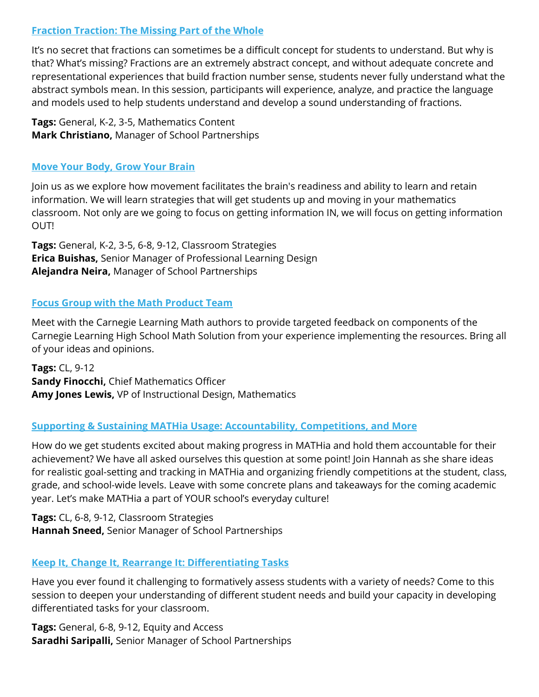# **Fraction Traction: The Missing Part of the Whole**

It's no secret that fractions can sometimes be a difficult concept for students to understand. But why is that? What's missing? Fractions are an extremely abstract concept, and without adequate concrete and representational experiences that build fraction number sense, students never fully understand what the abstract symbols mean. In this session, participants will experience, analyze, and practice the language and models used to help students understand and develop a sound understanding of fractions.

**Tags:** General, K-2, 3-5, Mathematics Content **Mark Christiano,** Manager of School Partnerships

#### **Move Your Body, Grow Your Brain**

Join us as we explore how movement facilitates the brain's readiness and ability to learn and retain information. We will learn strategies that will get students up and moving in your mathematics classroom. Not only are we going to focus on getting information IN, we will focus on getting information OUT!

**Tags:** General, K-2, 3-5, 6-8, 9-12, Classroom Strategies **Erica Buishas,** Senior Manager of Professional Learning Design **Alejandra Neira,** Manager of School Partnerships

# **Focus Group with the Math Product Team**

Meet with the Carnegie Learning Math authors to provide targeted feedback on components of the Carnegie Learning High School Math Solution from your experience implementing the resources. Bring all of your ideas and opinions.

**Tags:** CL, 9-12 **Sandy Finocchi,** Chief Mathematics Officer **Amy Jones Lewis,** VP of Instructional Design, Mathematics

# **Supporting & Sustaining MATHia Usage: Accountability, Competitions, and More**

How do we get students excited about making progress in MATHia and hold them accountable for their achievement? We have all asked ourselves this question at some point! Join Hannah as she share ideas for realistic goal-setting and tracking in MATHia and organizing friendly competitions at the student, class, grade, and school-wide levels. Leave with some concrete plans and takeaways for the coming academic year. Let's make MATHia a part of YOUR school's everyday culture!

**Tags:** CL, 6-8, 9-12, Classroom Strategies **Hannah Sneed,** Senior Manager of School Partnerships

# **Keep It, Change It, Rearrange It: Differentiating Tasks**

Have you ever found it challenging to formatively assess students with a variety of needs? Come to this session to deepen your understanding of different student needs and build your capacity in developing differentiated tasks for your classroom.

**Tags:** General, 6-8, 9-12, Equity and Access **Saradhi Saripalli,** Senior Manager of School Partnerships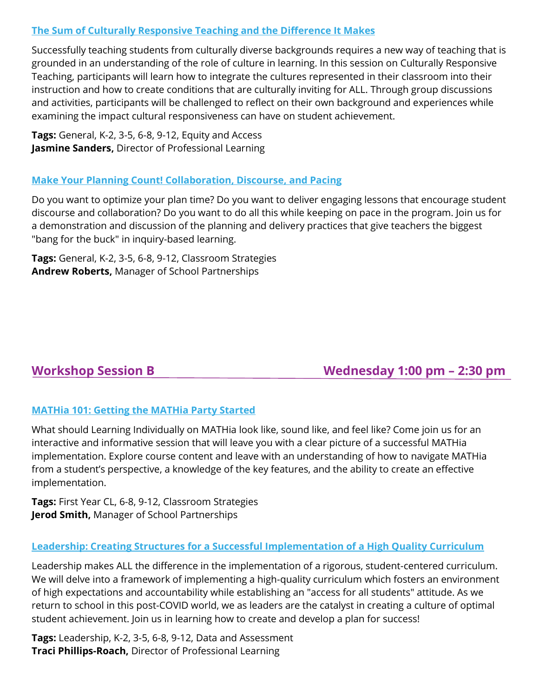# **The Sum of Culturally Responsive Teaching and the Difference It Makes**

Successfully teaching students from culturally diverse backgrounds requires a new way of teaching that is grounded in an understanding of the role of culture in learning. In this session on Culturally Responsive Teaching, participants will learn how to integrate the cultures represented in their classroom into their instruction and how to create conditions that are culturally inviting for ALL. Through group discussions and activities, participants will be challenged to reflect on their own background and experiences while examining the impact cultural responsiveness can have on student achievement.

**Tags:** General, K-2, 3-5, 6-8, 9-12, Equity and Access **Jasmine Sanders,** Director of Professional Learning

# **Make Your Planning Count! Collaboration, Discourse, and Pacing**

Do you want to optimize your plan time? Do you want to deliver engaging lessons that encourage student discourse and collaboration? Do you want to do all this while keeping on pace in the program. Join us for a demonstration and discussion of the planning and delivery practices that give teachers the biggest "bang for the buck" in inquiry-based learning.

**Tags:** General, K-2, 3-5, 6-8, 9-12, Classroom Strategies **Andrew Roberts,** Manager of School Partnerships

# **Workshop Session B Wednesday 1:00 pm – 2:30 pm**

# **MATHia 101: Getting the MATHia Party Started**

What should Learning Individually on MATHia look like, sound like, and feel like? Come join us for an interactive and informative session that will leave you with a clear picture of a successful MATHia implementation. Explore course content and leave with an understanding of how to navigate MATHia from a student's perspective, a knowledge of the key features, and the ability to create an effective implementation.

**Tags:** First Year CL, 6-8, 9-12, Classroom Strategies **Jerod Smith,** Manager of School Partnerships

# **Leadership: Creating Structures for a Successful Implementation of a High Quality Curriculum**

Leadership makes ALL the difference in the implementation of a rigorous, student-centered curriculum. We will delve into a framework of implementing a high-quality curriculum which fosters an environment of high expectations and accountability while establishing an "access for all students" attitude. As we return to school in this post-COVID world, we as leaders are the catalyst in creating a culture of optimal student achievement. Join us in learning how to create and develop a plan for success!

**Tags:** Leadership, K-2, 3-5, 6-8, 9-12, Data and Assessment **Traci Phillips-Roach,** Director of Professional Learning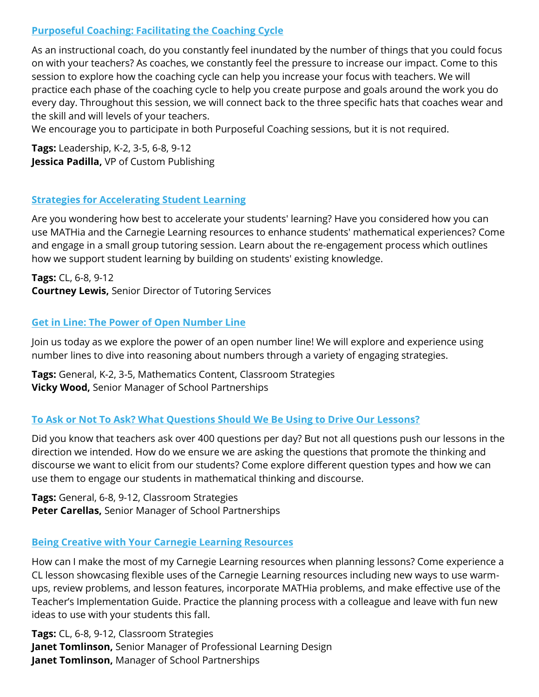# **Purposeful Coaching: Facilitating the Coaching Cycle**

As an instructional coach, do you constantly feel inundated by the number of things that you could focus on with your teachers? As coaches, we constantly feel the pressure to increase our impact. Come to this session to explore how the coaching cycle can help you increase your focus with teachers. We will practice each phase of the coaching cycle to help you create purpose and goals around the work you do every day. Throughout this session, we will connect back to the three specific hats that coaches wear and the skill and will levels of your teachers.

We encourage you to participate in both Purposeful Coaching sessions, but it is not required.

**Tags:** Leadership, K-2, 3-5, 6-8, 9-12 **Jessica Padilla,** VP of Custom Publishing

## **Strategies for Accelerating Student Learning**

Are you wondering how best to accelerate your students' learning? Have you considered how you can use MATHia and the Carnegie Learning resources to enhance students' mathematical experiences? Come and engage in a small group tutoring session. Learn about the re-engagement process which outlines how we support student learning by building on students' existing knowledge.

**Tags:** CL, 6-8, 9-12 **Courtney Lewis,** Senior Director of Tutoring Services

## **Get in Line: The Power of Open Number Line**

Join us today as we explore the power of an open number line! We will explore and experience using number lines to dive into reasoning about numbers through a variety of engaging strategies.

**Tags:** General, K-2, 3-5, Mathematics Content, Classroom Strategies **Vicky Wood,** Senior Manager of School Partnerships

# **To Ask or Not To Ask? What Questions Should We Be Using to Drive Our Lessons?**

Did you know that teachers ask over 400 questions per day? But not all questions push our lessons in the direction we intended. How do we ensure we are asking the questions that promote the thinking and discourse we want to elicit from our students? Come explore different question types and how we can use them to engage our students in mathematical thinking and discourse.

**Tags:** General, 6-8, 9-12, Classroom Strategies **Peter Carellas,** Senior Manager of School Partnerships

#### **Being Creative with Your Carnegie Learning Resources**

How can I make the most of my Carnegie Learning resources when planning lessons? Come experience a CL lesson showcasing flexible uses of the Carnegie Learning resources including new ways to use warmups, review problems, and lesson features, incorporate MATHia problems, and make effective use of the Teacher's Implementation Guide. Practice the planning process with a colleague and leave with fun new ideas to use with your students this fall.

**Tags:** CL, 6-8, 9-12, Classroom Strategies **Janet Tomlinson,** Senior Manager of Professional Learning Design **Janet Tomlinson,** Manager of School Partnerships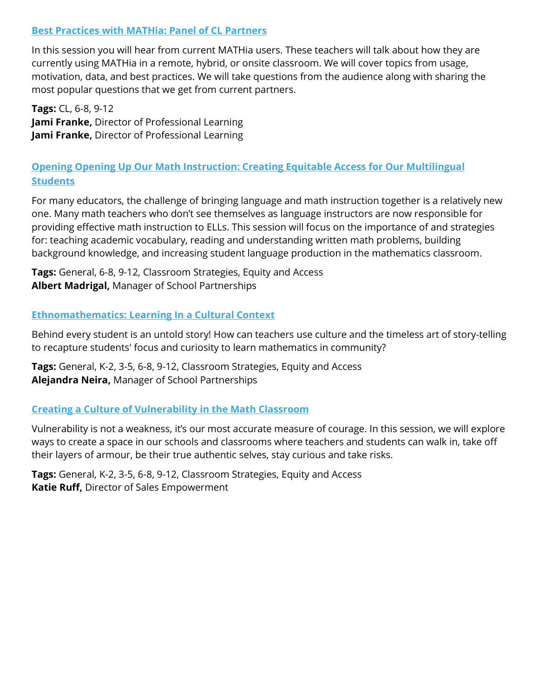# **Best Practices with MATHia: Panel of CL Partners**

In this session you will hear from current MATHia users. These teachers will talk about how they are currently using MATHia in a remote, hybrid, or onsite classroom. We will cover topics from usage, motivation, data, and best practices. We will take questions from the audience along with sharing the most popular questions that we get from current partners.

**Tags:** CL, 6-8, 9-12 **Jami Franke,** Director of Professional Learning **Jami Franke,** Director of Professional Learning

# **Opening Opening Up Our Math Instruction: Creating Equitable Access for Our Multilingual Students**

For many educators, the challenge of bringing language and math instruction together is a relatively new one. Many math teachers who don't see themselves as language instructors are now responsible for providing effective math instruction to ELLs. This session will focus on the importance of and strategies for: teaching academic vocabulary, reading and understanding written math problems, building background knowledge, and increasing student language production in the mathematics classroom.

**Tags:** General, 6-8, 9-12, Classroom Strategies, Equity and Access **Albert Madrigal,** Manager of School Partnerships

#### **Ethnomathematics: Learning In a Cultural Context**

Behind every student is an untold story! How can teachers use culture and the timeless art of story-telling to recapture students' focus and curiosity to learn mathematics in community?

**Tags:** General, K-2, 3-5, 6-8, 9-12, Classroom Strategies, Equity and Access **Alejandra Neira,** Manager of School Partnerships

# **Creating a Culture of Vulnerability in the Math Classroom**

Vulnerability is not a weakness, it's our most accurate measure of courage. In this session, we will explore ways to create a space in our schools and classrooms where teachers and students can walk in, take off their layers of armour, be their true authentic selves, stay curious and take risks.

**Tags:** General, K-2, 3-5, 6-8, 9-12, Classroom Strategies, Equity and Access **Katie Ruff,** Director of Sales Empowerment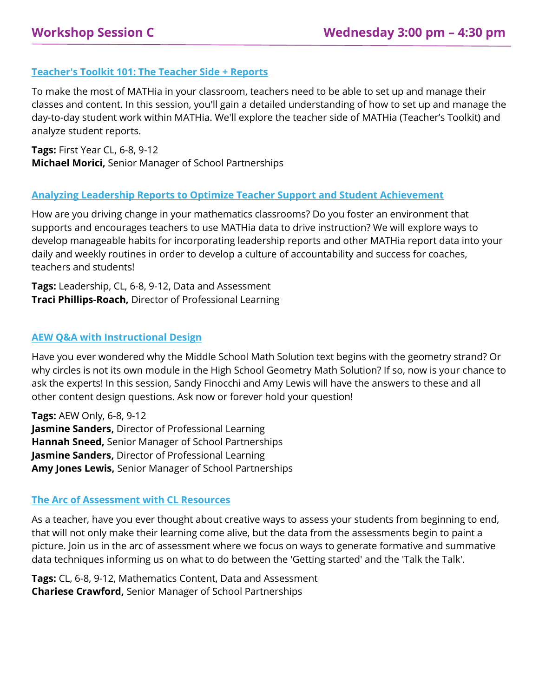# **Teacher's Toolkit 101: The Teacher Side + Reports**

To make the most of MATHia in your classroom, teachers need to be able to set up and manage their classes and content. In this session, you'll gain a detailed understanding of how to set up and manage the day-to-day student work within MATHia. We'll explore the teacher side of MATHia (Teacher's Toolkit) and analyze student reports.

**Tags:** First Year CL, 6-8, 9-12 **Michael Morici,** Senior Manager of School Partnerships

#### **Analyzing Leadership Reports to Optimize Teacher Support and Student Achievement**

How are you driving change in your mathematics classrooms? Do you foster an environment that supports and encourages teachers to use MATHia data to drive instruction? We will explore ways to develop manageable habits for incorporating leadership reports and other MATHia report data into your daily and weekly routines in order to develop a culture of accountability and success for coaches, teachers and students!

**Tags:** Leadership, CL, 6-8, 9-12, Data and Assessment **Traci Phillips-Roach,** Director of Professional Learning

#### **AEW Q&A with Instructional Design**

Have you ever wondered why the Middle School Math Solution text begins with the geometry strand? Or why circles is not its own module in the High School Geometry Math Solution? If so, now is your chance to ask the experts! In this session, Sandy Finocchi and Amy Lewis will have the answers to these and all other content design questions. Ask now or forever hold your question!

**Tags:** AEW Only, 6-8, 9-12 **Jasmine Sanders,** Director of Professional Learning **Hannah Sneed,** Senior Manager of School Partnerships **Jasmine Sanders,** Director of Professional Learning **Amy Jones Lewis,** Senior Manager of School Partnerships

#### **The Arc of Assessment with CL Resources**

As a teacher, have you ever thought about creative ways to assess your students from beginning to end, that will not only make their learning come alive, but the data from the assessments begin to paint a picture. Join us in the arc of assessment where we focus on ways to generate formative and summative data techniques informing us on what to do between the 'Getting started' and the 'Talk the Talk'.

**Tags:** CL, 6-8, 9-12, Mathematics Content, Data and Assessment **Chariese Crawford,** Senior Manager of School Partnerships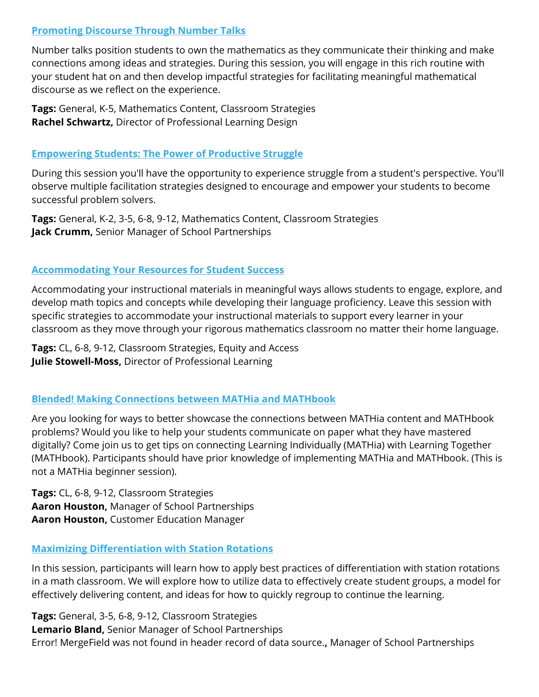# **Promoting Discourse Through Number Talks**

Number talks position students to own the mathematics as they communicate their thinking and make connections among ideas and strategies. During this session, you will engage in this rich routine with your student hat on and then develop impactful strategies for facilitating meaningful mathematical discourse as we reflect on the experience.

**Tags:** General, K-5, Mathematics Content, Classroom Strategies **Rachel Schwartz,** Director of Professional Learning Design

#### **Empowering Students: The Power of Productive Struggle**

During this session you'll have the opportunity to experience struggle from a student's perspective. You'll observe multiple facilitation strategies designed to encourage and empower your students to become successful problem solvers.

**Tags:** General, K-2, 3-5, 6-8, 9-12, Mathematics Content, Classroom Strategies **Jack Crumm,** Senior Manager of School Partnerships

## **Accommodating Your Resources for Student Success**

Accommodating your instructional materials in meaningful ways allows students to engage, explore, and develop math topics and concepts while developing their language proficiency. Leave this session with specific strategies to accommodate your instructional materials to support every learner in your classroom as they move through your rigorous mathematics classroom no matter their home language.

**Tags:** CL, 6-8, 9-12, Classroom Strategies, Equity and Access **Julie Stowell-Moss,** Director of Professional Learning

# **Blended! Making Connections between MATHia and MATHbook**

Are you looking for ways to better showcase the connections between MATHia content and MATHbook problems? Would you like to help your students communicate on paper what they have mastered digitally? Come join us to get tips on connecting Learning Individually (MATHia) with Learning Together (MATHbook). Participants should have prior knowledge of implementing MATHia and MATHbook. (This is not a MATHia beginner session).

**Tags:** CL, 6-8, 9-12, Classroom Strategies **Aaron Houston,** Manager of School Partnerships **Aaron Houston,** Customer Education Manager

#### **Maximizing Differentiation with Station Rotations**

In this session, participants will learn how to apply best practices of differentiation with station rotations in a math classroom. We will explore how to utilize data to effectively create student groups, a model for effectively delivering content, and ideas for how to quickly regroup to continue the learning.

**Tags:** General, 3-5, 6-8, 9-12, Classroom Strategies **Lemario Bland,** Senior Manager of School Partnerships Error! MergeField was not found in header record of data source.**,** Manager of School Partnerships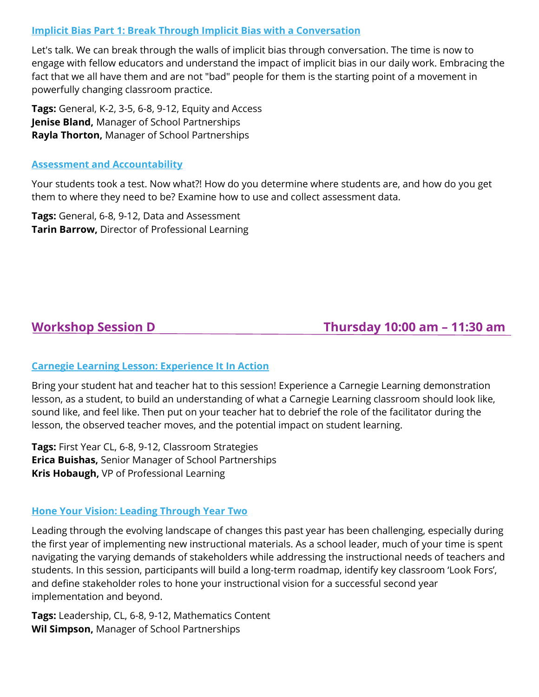# **Implicit Bias Part 1: Break Through Implicit Bias with a Conversation**

Let's talk. We can break through the walls of implicit bias through conversation. The time is now to engage with fellow educators and understand the impact of implicit bias in our daily work. Embracing the fact that we all have them and are not "bad" people for them is the starting point of a movement in powerfully changing classroom practice.

**Tags:** General, K-2, 3-5, 6-8, 9-12, Equity and Access **Jenise Bland,** Manager of School Partnerships **Rayla Thorton,** Manager of School Partnerships

#### **Assessment and Accountability**

Your students took a test. Now what?! How do you determine where students are, and how do you get them to where they need to be? Examine how to use and collect assessment data.

**Tags:** General, 6-8, 9-12, Data and Assessment **Tarin Barrow,** Director of Professional Learning

# **Workshop Session D Thursday 10:00 am – 11:30 am**

#### **Carnegie Learning Lesson: Experience It In Action**

Bring your student hat and teacher hat to this session! Experience a Carnegie Learning demonstration lesson, as a student, to build an understanding of what a Carnegie Learning classroom should look like, sound like, and feel like. Then put on your teacher hat to debrief the role of the facilitator during the lesson, the observed teacher moves, and the potential impact on student learning.

**Tags:** First Year CL, 6-8, 9-12, Classroom Strategies **Erica Buishas,** Senior Manager of School Partnerships **Kris Hobaugh,** VP of Professional Learning

#### **Hone Your Vision: Leading Through Year Two**

Leading through the evolving landscape of changes this past year has been challenging, especially during the first year of implementing new instructional materials. As a school leader, much of your time is spent navigating the varying demands of stakeholders while addressing the instructional needs of teachers and students. In this session, participants will build a long-term roadmap, identify key classroom 'Look Fors', and define stakeholder roles to hone your instructional vision for a successful second year implementation and beyond.

**Tags:** Leadership, CL, 6-8, 9-12, Mathematics Content **Wil Simpson,** Manager of School Partnerships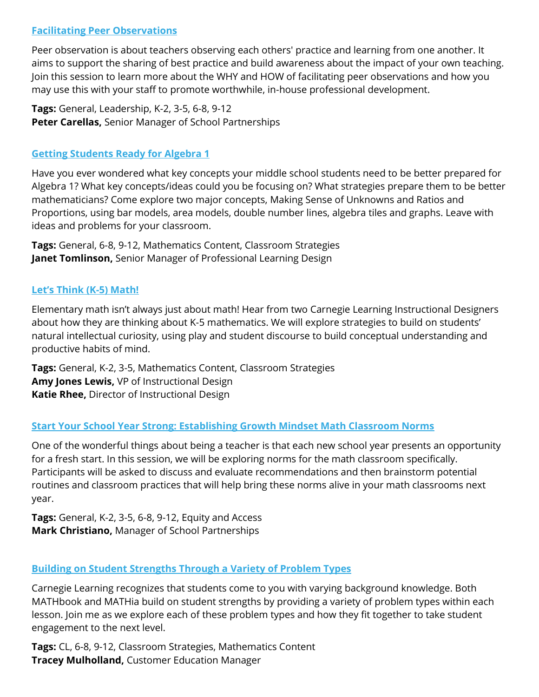# **Facilitating Peer Observations**

Peer observation is about teachers observing each others' practice and learning from one another. It aims to support the sharing of best practice and build awareness about the impact of your own teaching. Join this session to learn more about the WHY and HOW of facilitating peer observations and how you may use this with your staff to promote worthwhile, in-house professional development.

**Tags:** General, Leadership, K-2, 3-5, 6-8, 9-12 **Peter Carellas,** Senior Manager of School Partnerships

# **Getting Students Ready for Algebra 1**

Have you ever wondered what key concepts your middle school students need to be better prepared for Algebra 1? What key concepts/ideas could you be focusing on? What strategies prepare them to be better mathematicians? Come explore two major concepts, Making Sense of Unknowns and Ratios and Proportions, using bar models, area models, double number lines, algebra tiles and graphs. Leave with ideas and problems for your classroom.

**Tags:** General, 6-8, 9-12, Mathematics Content, Classroom Strategies **Janet Tomlinson,** Senior Manager of Professional Learning Design

## **Let's Think (K-5) Math!**

Elementary math isn't always just about math! Hear from two Carnegie Learning Instructional Designers about how they are thinking about K-5 mathematics. We will explore strategies to build on students' natural intellectual curiosity, using play and student discourse to build conceptual understanding and productive habits of mind.

**Tags:** General, K-2, 3-5, Mathematics Content, Classroom Strategies **Amy Jones Lewis,** VP of Instructional Design **Katie Rhee,** Director of Instructional Design

#### **Start Your School Year Strong: Establishing Growth Mindset Math Classroom Norms**

One of the wonderful things about being a teacher is that each new school year presents an opportunity for a fresh start. In this session, we will be exploring norms for the math classroom specifically. Participants will be asked to discuss and evaluate recommendations and then brainstorm potential routines and classroom practices that will help bring these norms alive in your math classrooms next year.

**Tags:** General, K-2, 3-5, 6-8, 9-12, Equity and Access **Mark Christiano,** Manager of School Partnerships

# **Building on Student Strengths Through a Variety of Problem Types**

Carnegie Learning recognizes that students come to you with varying background knowledge. Both MATHbook and MATHia build on student strengths by providing a variety of problem types within each lesson. Join me as we explore each of these problem types and how they fit together to take student engagement to the next level.

**Tags:** CL, 6-8, 9-12, Classroom Strategies, Mathematics Content **Tracey Mulholland,** Customer Education Manager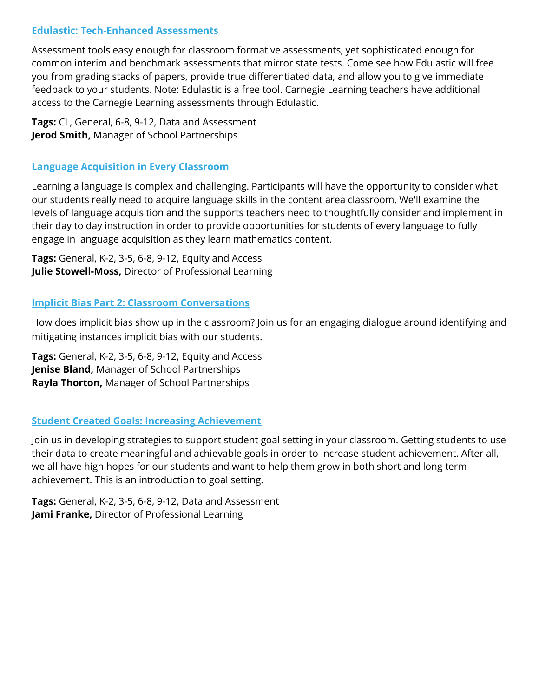# **Edulastic: Tech-Enhanced Assessments**

Assessment tools easy enough for classroom formative assessments, yet sophisticated enough for common interim and benchmark assessments that mirror state tests. Come see how Edulastic will free you from grading stacks of papers, provide true differentiated data, and allow you to give immediate feedback to your students. Note: Edulastic is a free tool. Carnegie Learning teachers have additional access to the Carnegie Learning assessments through Edulastic.

**Tags:** CL, General, 6-8, 9-12, Data and Assessment **Jerod Smith,** Manager of School Partnerships

## **Language Acquisition in Every Classroom**

Learning a language is complex and challenging. Participants will have the opportunity to consider what our students really need to acquire language skills in the content area classroom. We'll examine the levels of language acquisition and the supports teachers need to thoughtfully consider and implement in their day to day instruction in order to provide opportunities for students of every language to fully engage in language acquisition as they learn mathematics content.

**Tags:** General, K-2, 3-5, 6-8, 9-12, Equity and Access **Julie Stowell-Moss,** Director of Professional Learning

## **Implicit Bias Part 2: Classroom Conversations**

How does implicit bias show up in the classroom? Join us for an engaging dialogue around identifying and mitigating instances implicit bias with our students.

**Tags:** General, K-2, 3-5, 6-8, 9-12, Equity and Access **Jenise Bland,** Manager of School Partnerships **Rayla Thorton,** Manager of School Partnerships

# **Student Created Goals: Increasing Achievement**

Join us in developing strategies to support student goal setting in your classroom. Getting students to use their data to create meaningful and achievable goals in order to increase student achievement. After all, we all have high hopes for our students and want to help them grow in both short and long term achievement. This is an introduction to goal setting.

**Tags:** General, K-2, 3-5, 6-8, 9-12, Data and Assessment **Jami Franke,** Director of Professional Learning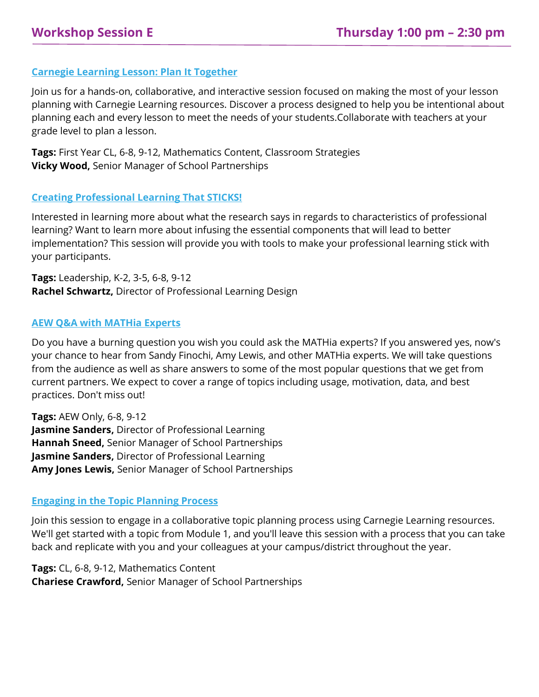### **Carnegie Learning Lesson: Plan It Together**

Join us for a hands-on, collaborative, and interactive session focused on making the most of your lesson planning with Carnegie Learning resources. Discover a process designed to help you be intentional about planning each and every lesson to meet the needs of your students.Collaborate with teachers at your grade level to plan a lesson.

**Tags:** First Year CL, 6-8, 9-12, Mathematics Content, Classroom Strategies **Vicky Wood,** Senior Manager of School Partnerships

#### **Creating Professional Learning That STICKS!**

Interested in learning more about what the research says in regards to characteristics of professional learning? Want to learn more about infusing the essential components that will lead to better implementation? This session will provide you with tools to make your professional learning stick with your participants.

**Tags:** Leadership, K-2, 3-5, 6-8, 9-12 **Rachel Schwartz,** Director of Professional Learning Design

#### **AEW Q&A with MATHia Experts**

Do you have a burning question you wish you could ask the MATHia experts? If you answered yes, now's your chance to hear from Sandy Finochi, Amy Lewis, and other MATHia experts. We will take questions from the audience as well as share answers to some of the most popular questions that we get from current partners. We expect to cover a range of topics including usage, motivation, data, and best practices. Don't miss out!

**Tags:** AEW Only, 6-8, 9-12 **Jasmine Sanders,** Director of Professional Learning **Hannah Sneed,** Senior Manager of School Partnerships **Jasmine Sanders,** Director of Professional Learning **Amy Jones Lewis,** Senior Manager of School Partnerships

#### **Engaging in the Topic Planning Process**

Join this session to engage in a collaborative topic planning process using Carnegie Learning resources. We'll get started with a topic from Module 1, and you'll leave this session with a process that you can take back and replicate with you and your colleagues at your campus/district throughout the year.

**Tags:** CL, 6-8, 9-12, Mathematics Content **Chariese Crawford,** Senior Manager of School Partnerships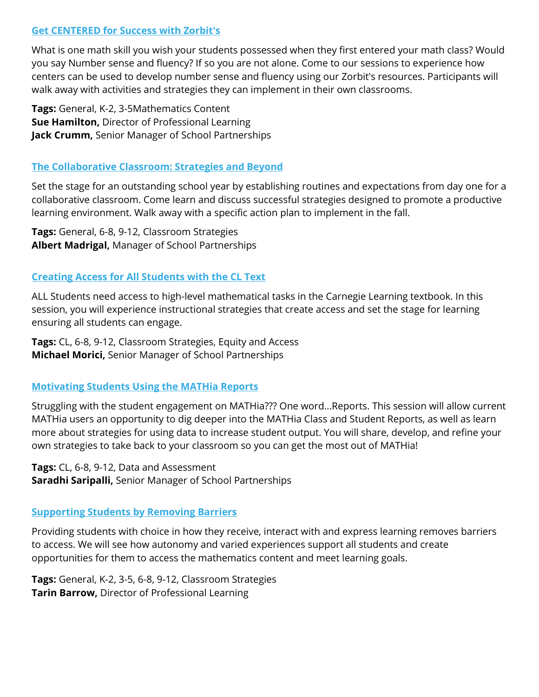### **Get CENTERED for Success with Zorbit's**

What is one math skill you wish your students possessed when they first entered your math class? Would you say Number sense and fluency? If so you are not alone. Come to our sessions to experience how centers can be used to develop number sense and fluency using our Zorbit's resources. Participants will walk away with activities and strategies they can implement in their own classrooms.

**Tags:** General, K-2, 3-5Mathematics Content **Sue Hamilton,** Director of Professional Learning **Jack Crumm,** Senior Manager of School Partnerships

#### **The Collaborative Classroom: Strategies and Beyond**

Set the stage for an outstanding school year by establishing routines and expectations from day one for a collaborative classroom. Come learn and discuss successful strategies designed to promote a productive learning environment. Walk away with a specific action plan to implement in the fall.

**Tags:** General, 6-8, 9-12, Classroom Strategies **Albert Madrigal,** Manager of School Partnerships

## **Creating Access for All Students with the CL Text**

ALL Students need access to high-level mathematical tasks in the Carnegie Learning textbook. In this session, you will experience instructional strategies that create access and set the stage for learning ensuring all students can engage.

**Tags:** CL, 6-8, 9-12, Classroom Strategies, Equity and Access **Michael Morici,** Senior Manager of School Partnerships

#### **Motivating Students Using the MATHia Reports**

Struggling with the student engagement on MATHia??? One word...Reports. This session will allow current MATHia users an opportunity to dig deeper into the MATHia Class and Student Reports, as well as learn more about strategies for using data to increase student output. You will share, develop, and refine your own strategies to take back to your classroom so you can get the most out of MATHia!

**Tags:** CL, 6-8, 9-12, Data and Assessment **Saradhi Saripalli,** Senior Manager of School Partnerships

# **Supporting Students by Removing Barriers**

Providing students with choice in how they receive, interact with and express learning removes barriers to access. We will see how autonomy and varied experiences support all students and create opportunities for them to access the mathematics content and meet learning goals.

**Tags:** General, K-2, 3-5, 6-8, 9-12, Classroom Strategies **Tarin Barrow,** Director of Professional Learning